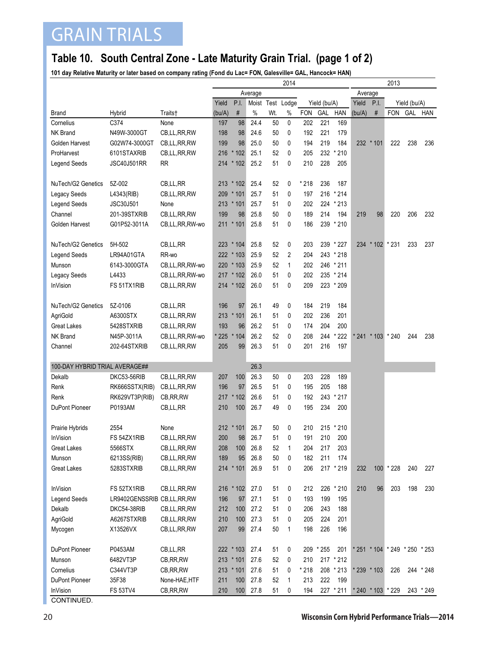## GRAIN TRIALS

## **Table 10. South Central Zone - Late Maturity Grain Trial. (page 1 of 2)**

**101 day Relative Maturity or later based on company rating (Fond du Lac= FON, Galesville= GAL, Hancock= HAN)**

|                                |                            |                | 2014    |             |      |                                     |      |            |           |           |              | 2013              |                               |         |           |  |
|--------------------------------|----------------------------|----------------|---------|-------------|------|-------------------------------------|------|------------|-----------|-----------|--------------|-------------------|-------------------------------|---------|-----------|--|
|                                |                            |                | Average |             |      |                                     |      |            | Average   |           |              |                   |                               |         |           |  |
|                                |                            |                | Yield   | P.I.        |      | Moist Test<br>Lodge<br>Yield (bu/A) |      |            | Yield     | P.I.      | Yield (bu/A) |                   |                               |         |           |  |
| <b>Brand</b>                   | Hybrid                     | Traits†        | (bu/A)  | #           | $\%$ | Wt.                                 | $\%$ | <b>FON</b> | GAL       | HAN       | (bu/A)       | $\#$              | <b>FON</b>                    | GAL HAN |           |  |
| Cornelius                      | C374                       | None           | 197     | 98          | 24.4 | 50                                  | 0    | 202        | 221       | 169       |              |                   |                               |         |           |  |
| <b>NK Brand</b>                | N49W-3000GT                | CB,LL,RR,RW    | 198     | 98          | 24.6 | 50                                  | 0    | 192        | 221       | 179       |              |                   |                               |         |           |  |
| Golden Harvest                 | G02W74-3000GT              | CB,LL,RR,RW    | 199     | 98          | 25.0 | 50                                  | 0    | 194        | 219       | 184       |              | 232 * 101         | 222                           | 238     | 236       |  |
| ProHarvest                     | 6101STAXRIB                | CB,LL,RR,RW    | 216     | $*102$      | 25.1 | 52                                  | 0    | 205        | 232       | $*210$    |              |                   |                               |         |           |  |
| <b>Legend Seeds</b>            | <b>JSC40J501RR</b>         | RR             |         | 214 * 102   | 25.2 | 51                                  | 0    | 210        | 228       | 205       |              |                   |                               |         |           |  |
|                                |                            |                |         |             |      |                                     |      |            |           |           |              |                   |                               |         |           |  |
| NuTech/G2 Genetics             | 5Z-002                     | CB,LL,RR       |         | 213 * 102   | 25.4 | 52                                  | 0    | * 218      | 236       | 187       |              |                   |                               |         |           |  |
| Legacy Seeds                   | L4343(RIB)                 | CB,LL,RR,RW    | 209     | $*101$      | 25.7 | 51                                  | 0    | 197        | 216       | $*214$    |              |                   |                               |         |           |  |
| Legend Seeds                   | JSC30J501                  | None           |         | $213 * 101$ | 25.7 | 51                                  | 0    | 202        |           | 224 * 213 |              |                   |                               |         |           |  |
| Channel                        | 201-39STXRIB               | CB,LL,RR,RW    | 199     | 98          | 25.8 | 50                                  | 0    | 189        | 214       | 194       | 219          | 98                | 220                           | 206     | 232       |  |
| Golden Harvest                 | G01P52-3011A               | CB,LL,RR,RW-wo | 211     | $*101$      | 25.8 | 51                                  | 0    | 186        | 239       | $*210$    |              |                   |                               |         |           |  |
| NuTech/G2 Genetics             | 5H-502                     | CB,LL,RR       |         | 223 * 104   | 25.8 | 52                                  | 0    | 203        |           | 239 * 227 |              | 234 * 102 * 231   |                               | 233     | 237       |  |
| <b>Legend Seeds</b>            | LR94A01GTA                 | RR-wo          |         | $222 * 103$ | 25.9 | 52                                  | 2    | 204        |           | 243 * 218 |              |                   |                               |         |           |  |
| Munson                         | 6143-3000GTA               | CB,LL,RR,RW-wo |         | $220 * 103$ | 25.9 | 52                                  | 1    | 202        |           | 246 * 211 |              |                   |                               |         |           |  |
| Legacy Seeds                   | L4433                      | CB,LL,RR,RW-wo |         | $217 * 102$ | 26.0 | 51                                  | 0    | 202        |           | 235 * 214 |              |                   |                               |         |           |  |
| <b>InVision</b>                | FS 51TX1RIB                | CB,LL,RR,RW    |         | 214 * 102   | 26.0 | 51                                  | 0    | 209        |           | 223 * 209 |              |                   |                               |         |           |  |
|                                |                            |                |         |             |      |                                     |      |            |           |           |              |                   |                               |         |           |  |
| NuTech/G2 Genetics             | 5Z-0106                    | CB,LL,RR       | 196     | 97          | 26.1 | 49                                  | 0    | 184        | 219       | 184       |              |                   |                               |         |           |  |
| AgriGold                       | A6300STX                   | CB,LL,RR,RW    | 213     | $*101$      | 26.1 | 51                                  | 0    | 202        | 236       | 201       |              |                   |                               |         |           |  |
| <b>Great Lakes</b>             | 5428STXRIB                 | CB, LL, RR, RW | 193     | 96          | 26.2 | 51                                  | 0    | 174        | 204       | 200       |              |                   |                               |         |           |  |
| <b>NK Brand</b>                | N45P-3011A                 | CB,LL,RR,RW-wo | 225     | $*104$      | 26.2 | 52                                  | 0    | 208        | 244       | * 222     |              | * 241 * 103 * 240 |                               | 244     | 238       |  |
| Channel                        | 202-64STXRIB               | CB,LL,RR,RW    | 205     | 99          | 26.3 | 51                                  | 0    | 201        | 216       | 197       |              |                   |                               |         |           |  |
|                                |                            |                |         |             |      |                                     |      |            |           |           |              |                   |                               |         |           |  |
| 100-DAY HYBRID TRIAL AVERAGE## |                            |                |         |             | 26.3 |                                     |      |            |           |           |              |                   |                               |         |           |  |
| Dekalb                         | DKC53-56RIB                | CB,LL,RR,RW    | 207     | 100         | 26.3 | 50                                  | 0    | 203        | 228       | 189       |              |                   |                               |         |           |  |
| Renk                           | RK666SSTX(RIB)             | CB,LL,RR,RW    | 196     | 97          | 26.5 | 51                                  | 0    | 195        | 205       | 188       |              |                   |                               |         |           |  |
| Renk                           | RK629VT3P(RIB)             | CB, RR, RW     |         | 217 * 102   | 26.6 | 51                                  | 0    | 192        | 243       | $*217$    |              |                   |                               |         |           |  |
| DuPont Pioneer                 | P0193AM                    | CB, LL, RR     | 210     | 100         | 26.7 | 49                                  | 0    | 195        | 234       | 200       |              |                   |                               |         |           |  |
| Prairie Hybrids                | 2554                       | None           |         | 212 * 101   | 26.7 | 50                                  | 0    | 210        | 215       | $*210$    |              |                   |                               |         |           |  |
| <b>InVision</b>                | FS 54ZX1RIB                | CB,LL,RR,RW    | 200     | 98          | 26.7 | 51                                  | 0    | 191        | 210       | 200       |              |                   |                               |         |           |  |
| Great Lakes                    | 5566STX                    | CB,LL,RR,RW    | 208     | 100         | 26.8 | 52                                  | 1    | 204        | 217       | 203       |              |                   |                               |         |           |  |
| Munson                         | 6213SS(RIB)                | CB,LL,RR,RW    | 189     | 95          | 26.8 | 50                                  | 0    | 182        | 211       | 174       |              |                   |                               |         |           |  |
| <b>Great Lakes</b>             | 5283STXRIB                 | CB,LL,RR,RW    |         | $214 * 101$ | 26.9 | 51                                  | 0    | 206        |           | 217 * 219 | 232          |                   | 100 * 228                     | 240     | 227       |  |
|                                |                            |                |         |             |      |                                     |      |            |           |           |              |                   |                               |         |           |  |
| InVision                       | FS 52TX1RIB                | CB,LL,RR,RW    |         | 216 * 102   | 27.0 | 51                                  | 0    | 212        | 226       | $*210$    | 210          | 96                | 203                           | 198     | 230       |  |
| <b>Legend Seeds</b>            | LR9402GENSSRIB CB,LL,RR,RW |                | 196     | 97          | 27.1 | 51                                  | 0    | 193        | 199       | 195       |              |                   |                               |         |           |  |
| Dekalb                         | DKC54-38RIB                | CB,LL,RR,RW    | 212     | 100         | 27.2 | 51                                  | 0    | 206        | 243       | 188       |              |                   |                               |         |           |  |
| AgriGold                       | A6267STXRIB                | CB,LL,RR,RW    | 210     | 100         | 27.3 | 51                                  | 0    | 205        | 224       | 201       |              |                   |                               |         |           |  |
| Mycogen                        | X13526VX                   | CB,LL,RR,RW    | 207     | 99          | 27.4 | 50                                  | 1    | 198        | 226       | 196       |              |                   |                               |         |           |  |
| DuPont Pioneer                 | P0453AM                    | CB,LL,RR       |         | 222 * 103   | 27.4 | 51                                  | 0    |            | 209 * 255 | 201       |              |                   | * 251 * 104 * 249 * 250 * 253 |         |           |  |
| Munson                         | 6482VT3P                   | CB, RR, RW     |         | $213 * 101$ | 27.6 | 52                                  | 0    | 210        |           | 217 * 212 |              |                   |                               |         |           |  |
| Cornelius                      | C344VT3P                   | CB, RR, RW     |         | $213 * 101$ | 27.6 | 51                                  | 0    | $*218$     |           | 208 * 213 |              | * 239 * 103       | 226                           |         | 244 * 248 |  |
| DuPont Pioneer                 | 35F38                      | None-HAE, HTF  | 211     | 100         | 27.8 | 52                                  | 1    | 213        | 222       | 199       |              |                   |                               |         |           |  |
| InVision                       | <b>FS 53TV4</b>            | CB, RR, RW     | 210     | 100         | 27.8 | 51                                  | 0    | 194        |           | 227 * 211 |              | * 240 * 103 * 229 |                               |         | 243 * 249 |  |
|                                |                            |                |         |             |      |                                     |      |            |           |           |              |                   |                               |         |           |  |

CONTINUED.